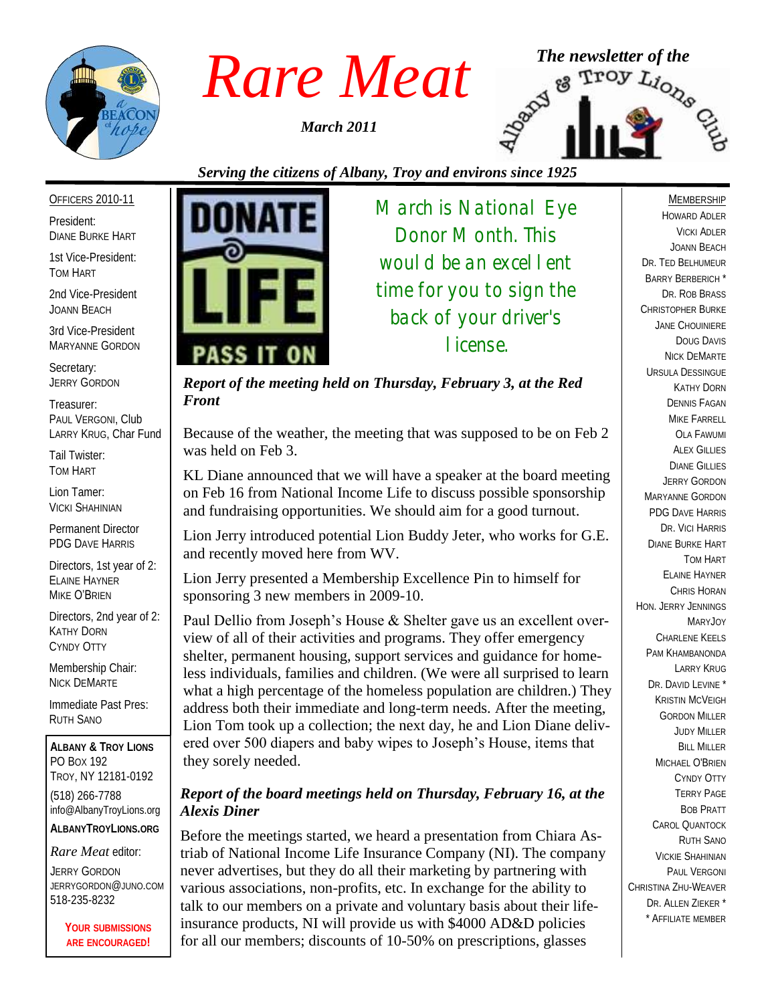

*March 2011*



# *Serving the citizens of Albany, Troy and environs since 1925*

#### OFFICERS 2010-11

President: DIANE BURKE HART

1st Vice-President: TOM HART

2nd Vice-President JOANN BEACH

3rd Vice-President MARYANNE GORDON

Secretary: JERRY GORDON

Treasurer: PAUL VERGONI, Club LARRY KRUG, Char Fund

Tail Twister: TOM HART

Lion Tamer: VICKI SHAHINIAN

Permanent Director PDG DAVE HARRIS

Directors, 1st year of 2: ELAINE HAYNER MIKE O'BRIEN

Directors, 2nd year of 2: KATHY DORN CYNDY OTTY

Membership Chair: NICK DEMARTE

Immediate Past Pres: RUTH SANO

**ALBANY & TROY LIONS** PO BOX 192 TROY, NY 12181-0192 (518) 266-7788 info@AlbanyTroyLions.org **ALBANYTROYLIONS.ORG**

*Rare Meat* editor:

JERRY GORDON JERRYGORDON@JUNO.COM 518-235-8232

> **YOUR SUBMISSIONS ARE ENCOURAGED!**



*March is National Eye Donor Month. This would be an excellent time for you to sign the back of your driver's license.*

*Report of the meeting held on Thursday, February 3, at the Red Front*

Because of the weather, the meeting that was supposed to be on Feb 2 was held on Feb 3.

KL Diane announced that we will have a speaker at the board meeting on Feb 16 from National Income Life to discuss possible sponsorship and fundraising opportunities. We should aim for a good turnout.

Lion Jerry introduced potential Lion Buddy Jeter, who works for G.E. and recently moved here from WV.

Lion Jerry presented a Membership Excellence Pin to himself for sponsoring 3 new members in 2009-10.

Paul Dellio from Joseph's House & Shelter gave us an excellent overview of all of their activities and programs. They offer emergency shelter, permanent housing, support services and guidance for homeless individuals, families and children. (We were all surprised to learn what a high percentage of the homeless population are children.) They address both their immediate and long-term needs. After the meeting, Lion Tom took up a collection; the next day, he and Lion Diane delivered over 500 diapers and baby wipes to Joseph's House, items that they sorely needed.

### *Report of the board meetings held on Thursday, February 16, at the Alexis Diner*

Before the meetings started, we heard a presentation from Chiara Astriab of National Income Life Insurance Company (NI). The company never advertises, but they do all their marketing by partnering with various associations, non-profits, etc. In exchange for the ability to talk to our members on a private and voluntary basis about their lifeinsurance products, NI will provide us with \$4000 AD&D policies for all our members; discounts of 10-50% on prescriptions, glasses

MEMBERSHIP HOWARD ADLER VICKI ADLER JOANN BEACH DR. TED BELHUMEUR BARRY BERBERICH \* DR. ROB BRASS CHRISTOPHER BURKE JANE CHOUINIERE DOUG DAVIS NICK DEMARTE URSULA DESSINGUE KATHY DORN DENNIS FAGAN MIKE FARRELL OLA FAWUMI **ALEX GILLIES** DIANE GILLIES JERRY GORDON MARYANNE GORDON PDG DAVE HARRIS DR. VICI HARRIS DIANE BURKE HART TOM HART ELAINE HAYNER CHRIS HORAN HON. JERRY JENNINGS MARYJOY CHARLENE KEELS PAM KHAMBANONDA LARRY KRUG DR. DAVID LEVINE<sup>\*</sup> KRISTIN MCVEIGH GORDON MILLER JUDY MILLER BILL MILLER MICHAEL O'BRIEN CYNDY OTTY TERRY PAGE BOB PRATT CAROL QUANTOCK RUTH SANO VICKIE SHAHINIAN PAUL VERGONI CHRISTINA ZHU-WEAVER DR. ALLEN ZIEKER \* \* AFFILIATE MEMBER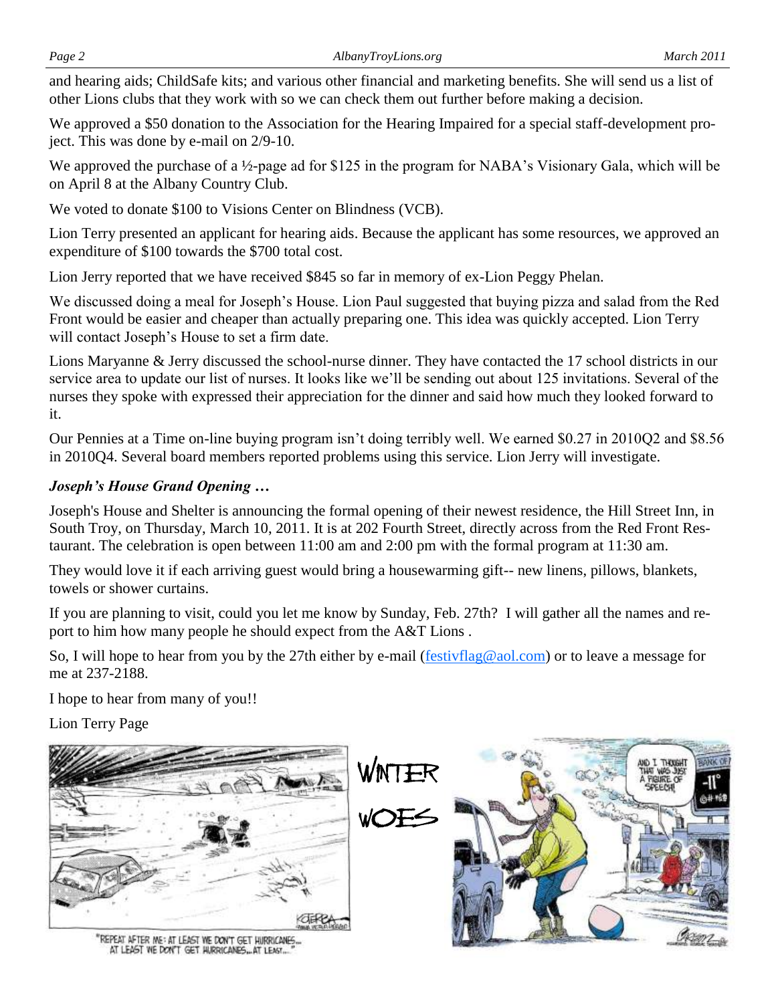and hearing aids; ChildSafe kits; and various other financial and marketing benefits. She will send us a list of other Lions clubs that they work with so we can check them out further before making a decision.

We approved a \$50 donation to the Association for the Hearing Impaired for a special staff-development project. This was done by e-mail on 2/9-10.

We approved the purchase of a ½-page ad for \$125 in the program for NABA's Visionary Gala, which will be on April 8 at the Albany Country Club.

We voted to donate \$100 to Visions Center on Blindness (VCB).

Lion Terry presented an applicant for hearing aids. Because the applicant has some resources, we approved an expenditure of \$100 towards the \$700 total cost.

Lion Jerry reported that we have received \$845 so far in memory of ex-Lion Peggy Phelan.

We discussed doing a meal for Joseph's House. Lion Paul suggested that buying pizza and salad from the Red Front would be easier and cheaper than actually preparing one. This idea was quickly accepted. Lion Terry will contact Joseph's House to set a firm date.

Lions Maryanne & Jerry discussed the school-nurse dinner. They have contacted the 17 school districts in our service area to update our list of nurses. It looks like we'll be sending out about 125 invitations. Several of the nurses they spoke with expressed their appreciation for the dinner and said how much they looked forward to it.

Our Pennies at a Time on-line buying program isn't doing terribly well. We earned \$0.27 in 2010Q2 and \$8.56 in 2010Q4. Several board members reported problems using this service. Lion Jerry will investigate.

## *Joseph's House Grand Opening …*

Joseph's House and Shelter is announcing the formal opening of their newest residence, the Hill Street Inn, in South Troy, on Thursday, March 10, 2011. It is at 202 Fourth Street, directly across from the Red Front Restaurant. The celebration is open between 11:00 am and 2:00 pm with the formal program at 11:30 am.

They would love it if each arriving guest would bring a housewarming gift-- new linens, pillows, blankets, towels or shower curtains.

If you are planning to visit, could you let me know by Sunday, Feb. 27th? I will gather all the names and report to him how many people he should expect from the A&T Lions .

So, I will hope to hear from you by the 27th either by e-mail ([festivflag@aol.com\)](mailto:festivflag@aol.com) or to leave a message for me at 237-2188.

I hope to hear from many of you!!

Lion Terry Page

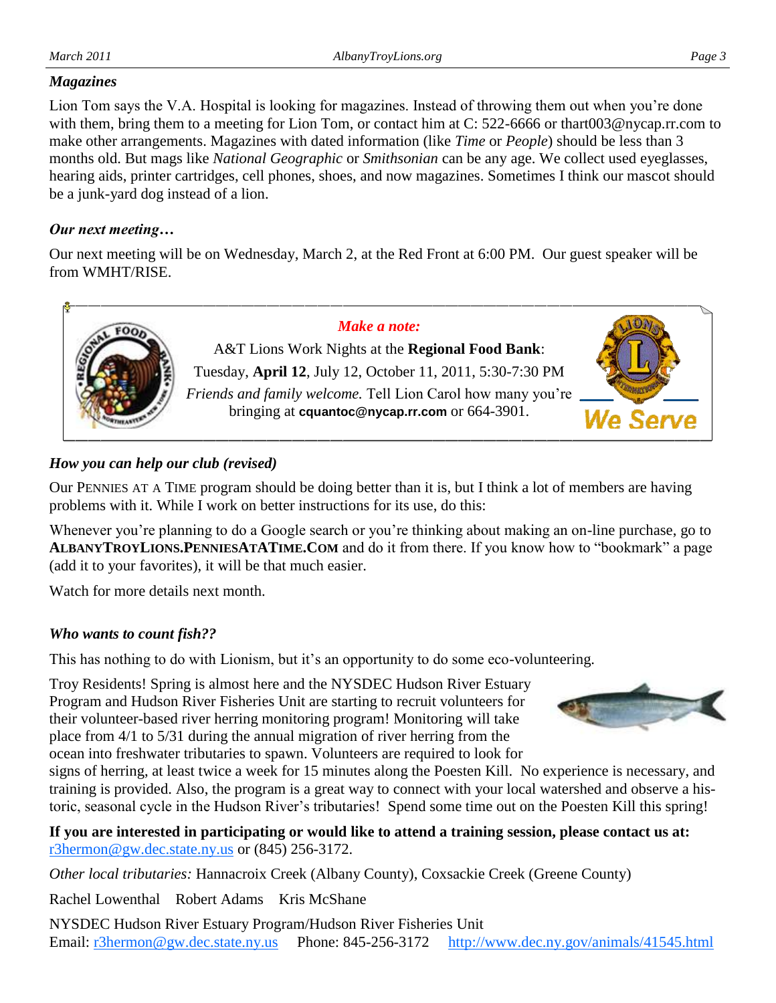#### *Magazines*

Lion Tom says the V.A. Hospital is looking for magazines. Instead of throwing them out when you're done with them, bring them to a meeting for Lion Tom, or contact him at C: 522-6666 or thart003@nycap.rr.com to make other arrangements. Magazines with dated information (like *Time* or *People*) should be less than 3 months old. But mags like *National Geographic* or *Smithsonian* can be any age. We collect used eyeglasses, hearing aids, printer cartridges, cell phones, shoes, and now magazines. Sometimes I think our mascot should be a junk-yard dog instead of a lion.

## *Our next meeting…*

Our next meeting will be on Wednesday, March 2, at the Red Front at 6:00 PM. Our guest speaker will be from WMHT/RISE.



## *How you can help our club (revised)*

Our PENNIES AT A TIME program should be doing better than it is, but I think a lot of members are having problems with it. While I work on better instructions for its use, do this:

Whenever you're planning to do a Google search or you're thinking about making an on-line purchase, go to **ALBANYTROYLIONS.PENNIESATATIME.COM** and do it from there. If you know how to "bookmark" a page (add it to your favorites), it will be that much easier.

Watch for more details next month.

### *Who wants to count fish??*

This has nothing to do with Lionism, but it's an opportunity to do some eco-volunteering.

Troy Residents! Spring is almost here and the NYSDEC Hudson River Estuary Program and Hudson River Fisheries Unit are starting to recruit volunteers for their volunteer-based river herring monitoring program! Monitoring will take place from 4/1 to 5/31 during the annual migration of river herring from the ocean into freshwater tributaries to spawn. Volunteers are required to look for

signs of herring, at least twice a week for 15 minutes along the Poesten Kill. No experience is necessary, and training is provided. Also, the program is a great way to connect with your local watershed and observe a historic, seasonal cycle in the Hudson River's tributaries! Spend some time out on the Poesten Kill this spring!

**If you are interested in participating or would like to attend a training session, please contact us at:**  [r3hermon@gw.dec.state.ny.us](mailto:r3hermon@gw.dec.state.ny.us) or (845) 256-3172.

*Other local tributaries:* Hannacroix Creek (Albany County), Coxsackie Creek (Greene County)

Rachel Lowenthal Robert Adams Kris McShane

NYSDEC Hudson River Estuary Program/Hudson River Fisheries Unit Email: [r3hermon@gw.dec.state.ny.us](mailto:r3hermon@gw.dec.state.ny.us) Phone: 845-256-3172 <http://www.dec.ny.gov/animals/41545.html>